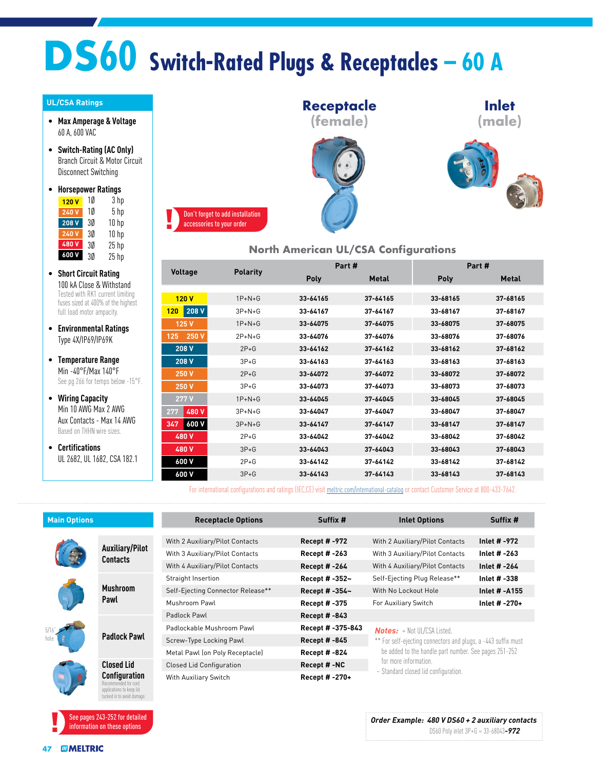# **DS60 Switch-Rated Plugs & Receptacles – 60 A**

#### **UL/CSA Ratings**

- **Max Amperage & Voltage** 60 A, 600 VAC
- **Switch-Rating (AC Only)** Branch Circuit & Motor Circuit Disconnect Switching

#### • **Horsepower Ratings** <mark>120 V</mark> 1Ø 3 hp

| 240 V | 10 | 5 <sub>hp</sub>  |
|-------|----|------------------|
| 208 V | 30 | 10 <sub>hp</sub> |
| 240 V | 30 | 10 <sub>hp</sub> |
| 480V  | 30 | $25$ hp          |
| 600 V | 3Ø | $25$ hp          |

- **Short Circuit Rating** 100 kA Close & Withstand Tested with RK1 current limiting fuses sized at 400% of the highest full load motor ampacity.
- **Environmental Ratings** Type 4X/IP69/IP69K
- **Temperature Range** Min -40°F/Max 140°F See pg 266 for temps below -15°F.
- **Wiring Capacity** Min 10 AWG Max 2 AWG Aux Contacts - Max 14 AWG Based on THHN wire sizes.
- **Certifications** UL 2682, UL 1682, CSA 182.1



#### **North American UL/CSA Configurations**

| <b>Voltage</b>            | <b>Polarity</b> |          | Part #       | Part#       |              |  |
|---------------------------|-----------------|----------|--------------|-------------|--------------|--|
|                           |                 | Poly     | <b>Metal</b> | <b>Poly</b> | <b>Metal</b> |  |
|                           |                 |          |              |             |              |  |
| 120V                      | $1P+N+G$        | 33-64165 | 37-64165     | 33-68165    | 37-68165     |  |
| 208 V<br>120 <sub>1</sub> | $3P+N+G$        | 33-64167 | 37-64167     | 33-68167    | 37-68167     |  |
| 125 V                     | $1P+N+G$        | 33-64075 | 37-64075     | 33-68075    | 37-68075     |  |
| 250 V<br>125              | $2P+N+G$        | 33-64076 | 37-64076     | 33-68076    | 37-68076     |  |
| 208 V                     | $2P+G$          | 33-64162 | 37-64162     | 33-68162    | 37-68162     |  |
| 208 V                     | $3P + G$        | 33-64163 | 37-64163     | 33-68163    | 37-68163     |  |
| 250 V                     | $2P+G$          | 33-64072 | 37-64072     | 33-68072    | 37-68072     |  |
| 250 V                     | $3P + G$        | 33-64073 | 37-64073     | 33-68073    | 37-68073     |  |
| 277V                      | $1P+N+G$        | 33-64045 | 37-64045     | 33-68045    | 37-68045     |  |
| 480 V<br>277              | $3P+N+G$        | 33-64047 | 37-64047     | 33-68047    | 37-68047     |  |
| 600 V<br>347              | $3P+N+G$        | 33-64147 | 37-64147     | 33-68147    | 37-68147     |  |
| 480 V                     | $2P+G$          | 33-64042 | 37-64042     | 33-68042    | 37-68042     |  |
| 480 V                     | $3P + G$        | 33-64043 | 37-64043     | 33-68043    | 37-68043     |  |
| 600 V                     | $2P+G$          | 33-64142 | 37-64142     | 33-68142    | 37-68142     |  |
| 600 V                     | $3P + G$        | 33-64143 | 37-64143     | 33-68143    | 37-68143     |  |

For international configurations and ratings (IEC,CE) visit [meltric.com/international-catalog](https://meltric.com/media/contentmanager/content/MARECHAL_Full_Catalogue_EN_1.pdf) or contact Customer Service at 800-433-7642.

| <b>Main Options</b> |                                                                                                        | <b>Receptacle Options</b>         | Suffix #             | <b>Inlet Options</b>                                                                                | Suffix #            |  |  |
|---------------------|--------------------------------------------------------------------------------------------------------|-----------------------------------|----------------------|-----------------------------------------------------------------------------------------------------|---------------------|--|--|
|                     |                                                                                                        |                                   |                      |                                                                                                     |                     |  |  |
|                     | <b>Auxiliary/Pilot</b><br>Contacts                                                                     | With 2 Auxiliary/Pilot Contacts   | <b>Recept # -972</b> | With 2 Auxiliary/Pilot Contacts                                                                     | Inlet # -972        |  |  |
|                     |                                                                                                        | With 3 Auxiliary/Pilot Contacts   | <b>Recept #-263</b>  | With 3 Auxiliary/Pilot Contacts                                                                     | Inlet # -263        |  |  |
|                     |                                                                                                        | With 4 Auxiliary/Pilot Contacts   | Recept # -264        | With 4 Auxiliary/Pilot Contacts                                                                     | Inlet # -264        |  |  |
|                     | <b>Mushroom</b><br>Pawl                                                                                | Straight Insertion                | Recept # -352~       | Self-Ejecting Plug Release**                                                                        | Inlet # -338        |  |  |
|                     |                                                                                                        | Self-Ejecting Connector Release** | Recept # -354~       | With No Lockout Hole                                                                                | <b>Inlet #-A155</b> |  |  |
|                     |                                                                                                        | Mushroom Pawl                     | Recept # -375        | For Auxiliary Switch                                                                                | Inlet # -270+       |  |  |
|                     | <b>Padlock Pawl</b>                                                                                    | Padlock Pawl                      | <b>Recept # -843</b> |                                                                                                     |                     |  |  |
|                     |                                                                                                        | Padlockable Mushroom Pawl         | Recept # -375-843    | <b>Notes:</b> + Not UL/CSA Listed.<br>** For self-ejecting connectors and plugs, a -443 suffix must |                     |  |  |
|                     |                                                                                                        | Screw-Type Locking Pawl           | Recept # -845        |                                                                                                     |                     |  |  |
|                     |                                                                                                        | Metal Pawl (on Poly Receptacle)   | <b>Recept #-824</b>  | be added to the handle part number. See pages 251-252                                               |                     |  |  |
|                     | <b>Closed Lid</b>                                                                                      | Closed Lid Configuration          | Recept #-NC          | for more information.                                                                               |                     |  |  |
|                     | <b>Configuration</b><br>Recommended for cord<br>applications to keep lid<br>tucked in to avoid damage. | With Auxiliary Switch             | Recept # -270+       | ~ Standard closed lid configuration.                                                                |                     |  |  |

See pages 243-252 for detailed information on these options